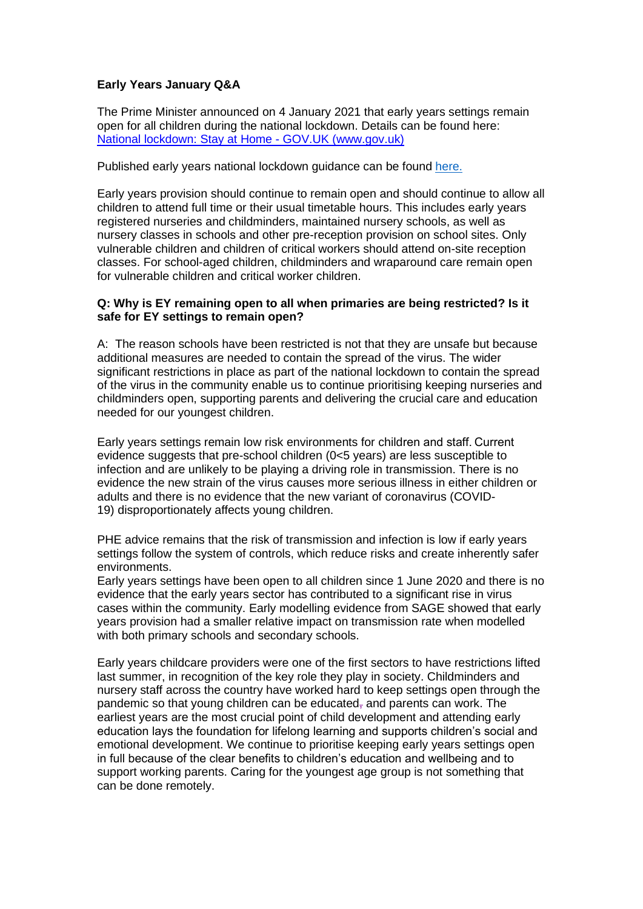# **Early Years January Q&A**

The Prime Minister announced on 4 January 2021 that early years settings remain open for all children during the national lockdown. Details can be found here: [National lockdown: Stay at Home -](https://www.gov.uk/guidance/national-lockdown-stay-at-home) GOV.UK (www.gov.uk)

#### Published early years national lockdown guidance can be found [here.](https://www.gov.uk/government/publications/coronavirus-covid-19-early-years-and-childcare-closures)

Early years provision should continue to remain open and should continue to allow all children to attend full time or their usual timetable hours. This includes early years registered nurseries and childminders, maintained nursery schools, as well as nursery classes in schools and other pre-reception provision on school sites. Only vulnerable children and children of critical workers should attend on-site reception classes. For school-aged children, childminders and wraparound care remain open for vulnerable children and critical worker children.

#### **Q: Why is EY remaining open to all when primaries are being restricted? Is it safe for EY settings to remain open?**

A: The reason schools have been restricted is not that they are unsafe but because additional measures are needed to contain the spread of the virus. The wider significant restrictions in place as part of the national lockdown to contain the spread of the virus in the community enable us to continue prioritising keeping nurseries and childminders open, supporting parents and delivering the crucial care and education needed for our youngest children.

Early years settings remain low risk environments for children and staff. Current evidence suggests that pre-school children (0<5 years) are less susceptible to infection and are unlikely to be playing a driving role in transmission. There is no evidence the new strain of the virus causes more serious illness in either children or adults and there is no evidence that the new variant of coronavirus (COVID-19) disproportionately affects young children.

PHE advice remains that the risk of transmission and infection is low if early years settings follow the system of controls, which reduce risks and create inherently safer environments.

Early years settings have been open to all children since 1 June 2020 and there is no evidence that the early years sector has contributed to a significant rise in virus cases within the community. Early modelling evidence from SAGE showed that early years provision had a smaller relative impact on transmission rate when modelled with both primary schools and secondary schools.

Early years childcare providers were one of the first sectors to have restrictions lifted last summer, in recognition of the key role they play in society. Childminders and nursery staff across the country have worked hard to keep settings open through the pandemic so that young children can be educated, and parents can work. The earliest years are the most crucial point of child development and attending early education lays the foundation for lifelong learning and supports children's social and emotional development. We continue to prioritise keeping early years settings open in full because of the clear benefits to children's education and wellbeing and to support working parents. Caring for the youngest age group is not something that can be done remotely.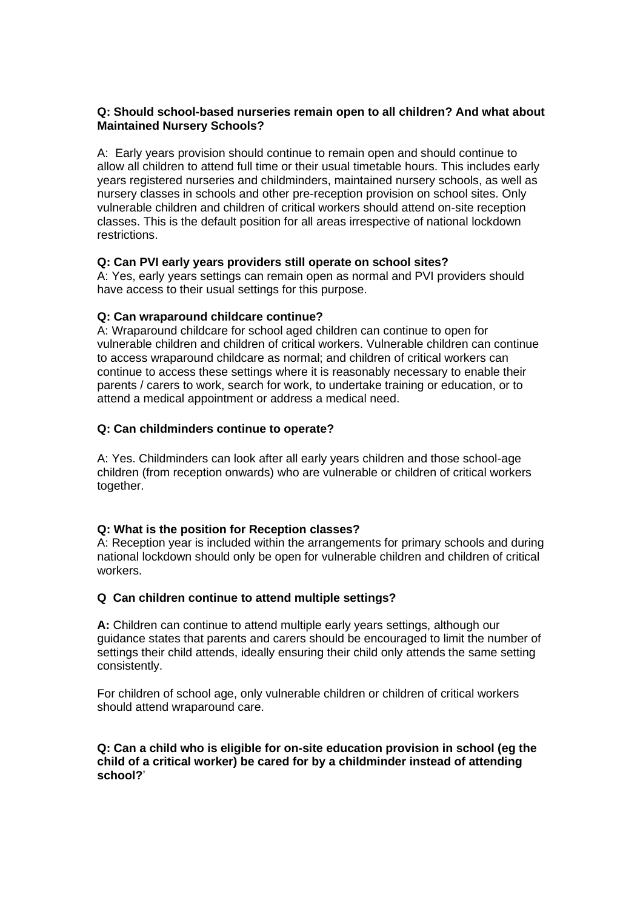## **Q: Should school-based nurseries remain open to all children? And what about Maintained Nursery Schools?**

A: Early years provision should continue to remain open and should continue to allow all children to attend full time or their usual timetable hours. This includes early years registered nurseries and childminders, maintained nursery schools, as well as nursery classes in schools and other pre-reception provision on school sites. Only vulnerable children and children of critical workers should attend on-site reception classes. This is the default position for all areas irrespective of national lockdown restrictions.

# **Q: Can PVI early years providers still operate on school sites?**

A: Yes, early years settings can remain open as normal and PVI providers should have access to their usual settings for this purpose.

# **Q: Can wraparound childcare continue?**

A: Wraparound childcare for school aged children can continue to open for vulnerable children and children of critical workers. Vulnerable children can continue to access wraparound childcare as normal; and children of critical workers can continue to access these settings where it is reasonably necessary to enable their parents / carers to work, search for work, to undertake training or education, or to attend a medical appointment or address a medical need.

# **Q: Can childminders continue to operate?**

A: Yes. Childminders can look after all early years children and those school-age children (from reception onwards) who are vulnerable or children of critical workers together.

# **Q: What is the position for Reception classes?**

A: Reception year is included within the arrangements for primary schools and during national lockdown should only be open for vulnerable children and children of critical workers.

# **Q Can children continue to attend multiple settings?**

**A:** Children can continue to attend multiple early years settings, although our guidance states that parents and carers should be encouraged to limit the number of settings their child attends, ideally ensuring their child only attends the same setting consistently.

For children of school age, only vulnerable children or children of critical workers should attend wraparound care.

# **Q: Can a child who is eligible for on-site education provision in school (eg the child of a critical worker) be cared for by a childminder instead of attending school?**'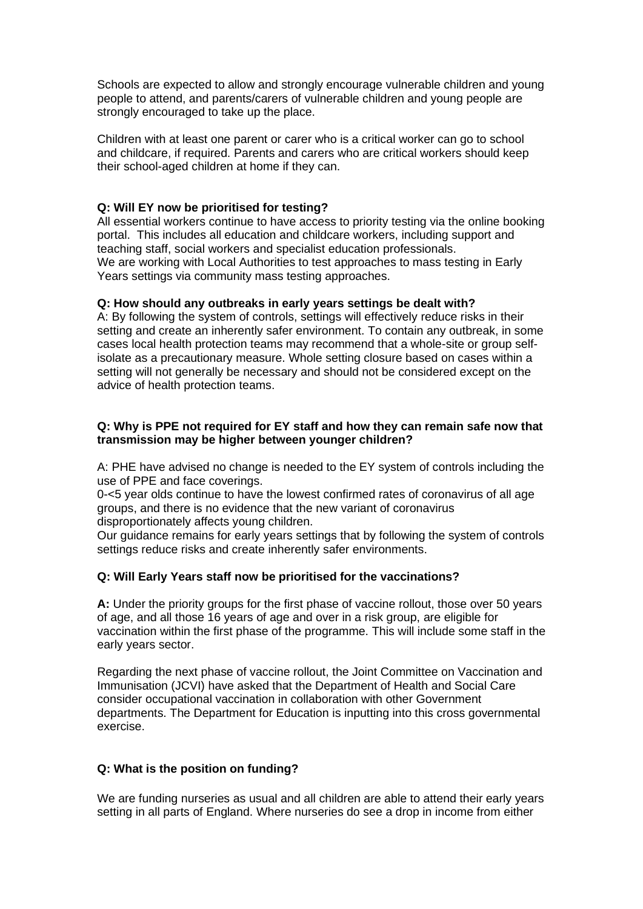Schools are expected to allow and strongly encourage vulnerable children and young people to attend, and parents/carers of vulnerable children and young people are strongly encouraged to take up the place.

Children with at least one parent or carer who is a critical worker can go to school and childcare, if required. Parents and carers who are critical workers should keep their school-aged children at home if they can.

# **Q: Will EY now be prioritised for testing?**

All essential workers continue to have access to priority testing via the online booking portal. This includes all education and childcare workers, including support and teaching staff, social workers and specialist education professionals. We are working with Local Authorities to test approaches to mass testing in Early Years settings via community mass testing approaches.

#### **Q: How should any outbreaks in early years settings be dealt with?**

A: By following the system of controls, settings will effectively reduce risks in their setting and create an inherently safer environment. To contain any outbreak, in some cases local health protection teams may recommend that a whole-site or group selfisolate as a precautionary measure. Whole setting closure based on cases within a setting will not generally be necessary and should not be considered except on the advice of health protection teams.

#### **Q: Why is PPE not required for EY staff and how they can remain safe now that transmission may be higher between younger children?**

A: PHE have advised no change is needed to the EY system of controls including the use of PPE and face coverings.

0-<5 year olds continue to have the lowest confirmed rates of coronavirus of all age groups, and there is no evidence that the new variant of coronavirus disproportionately affects young children.

Our guidance remains for early years settings that by following the system of controls settings reduce risks and create inherently safer environments.

#### **Q: Will Early Years staff now be prioritised for the vaccinations?**

**A:** Under the priority groups for the first phase of vaccine rollout, those over 50 years of age, and all those 16 years of age and over in a risk group, are eligible for vaccination within the first phase of the programme. This will include some staff in the early years sector.

Regarding the next phase of vaccine rollout, the Joint Committee on Vaccination and Immunisation (JCVI) have asked that the Department of Health and Social Care consider occupational vaccination in collaboration with other Government departments. The Department for Education is inputting into this cross governmental exercise.

#### **Q: What is the position on funding?**

We are funding nurseries as usual and all children are able to attend their early years setting in all parts of England. Where nurseries do see a drop in income from either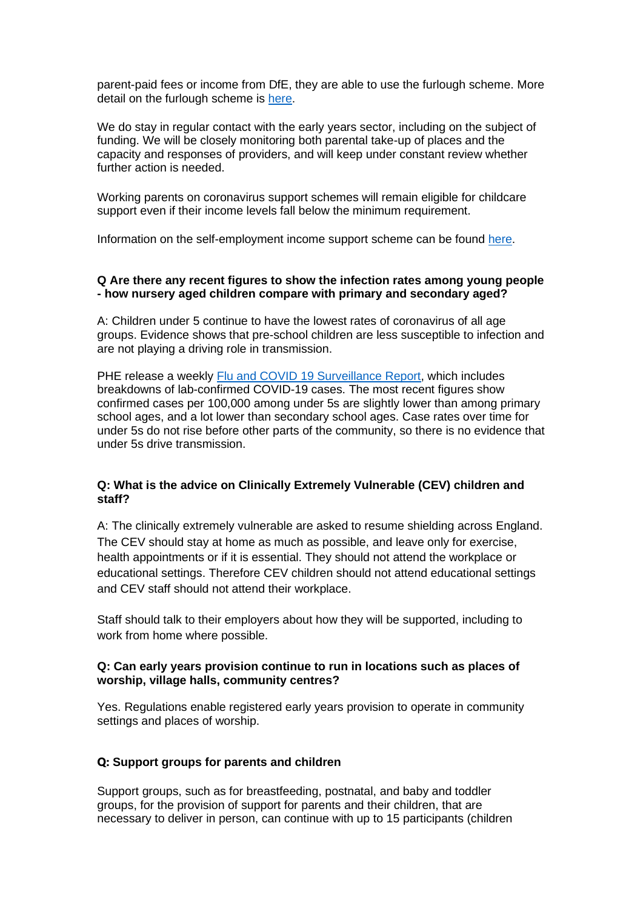parent-paid fees or income from DfE, they are able to use the furlough scheme. More detail on the furlough scheme is [here.](https://www.gov.uk/government/publications/coronavirus-covid-19-financial-support-for-education-early-years-and-childrens-social-care/coronavirus-covid-19-financial-support-for-education-early-years-and-childrens-social-care)

We do stay in regular contact with the early years sector, including on the subject of funding. We will be closely monitoring both parental take-up of places and the capacity and responses of providers, and will keep under constant review whether further action is needed.

Working parents on coronavirus support schemes will remain eligible for childcare support even if their income levels fall below the minimum requirement.

Information on the self-employment income support scheme can be found [here.](https://www.gov.uk/guidance/claim-a-grant-through-the-coronavirus-covid-19-self-employment-income-support-scheme)

## **Q Are there any recent figures to show the infection rates among young people - how nursery aged children compare with primary and secondary aged?**

A: Children under 5 continue to have the lowest rates of coronavirus of all age groups. Evidence shows that pre-school children are less susceptible to infection and are not playing a driving role in transmission.

PHE release a weekly [Flu and COVID 19 Surveillance Report,](https://assets.publishing.service.gov.uk/government/uploads/system/uploads/attachment_data/file/948638/Weekly_Flu_and_COVID-19_report_w53.pdf) which includes breakdowns of lab-confirmed COVID-19 cases. The most recent figures show confirmed cases per 100,000 among under 5s are slightly lower than among primary school ages, and a lot lower than secondary school ages. Case rates over time for under 5s do not rise before other parts of the community, so there is no evidence that under 5s drive transmission.

## **Q: What is the advice on Clinically Extremely Vulnerable (CEV) children and staff?**

A: The clinically extremely vulnerable are asked to resume shielding across England. The CEV should stay at home as much as possible, and leave only for exercise, health appointments or if it is essential. They should not attend the workplace or educational settings. Therefore CEV children should not attend educational settings and CEV staff should not attend their workplace.

Staff should talk to their employers about how they will be supported, including to work from home where possible.

## **Q: Can early years provision continue to run in locations such as places of worship, village halls, community centres?**

Yes. Regulations enable registered early years provision to operate in community settings and places of worship.

### **Q: Support groups for parents and children**

Support groups, such as for breastfeeding, postnatal, and baby and toddler groups, for the provision of support for parents and their children, that are necessary to deliver in person, can continue with up to 15 participants (children